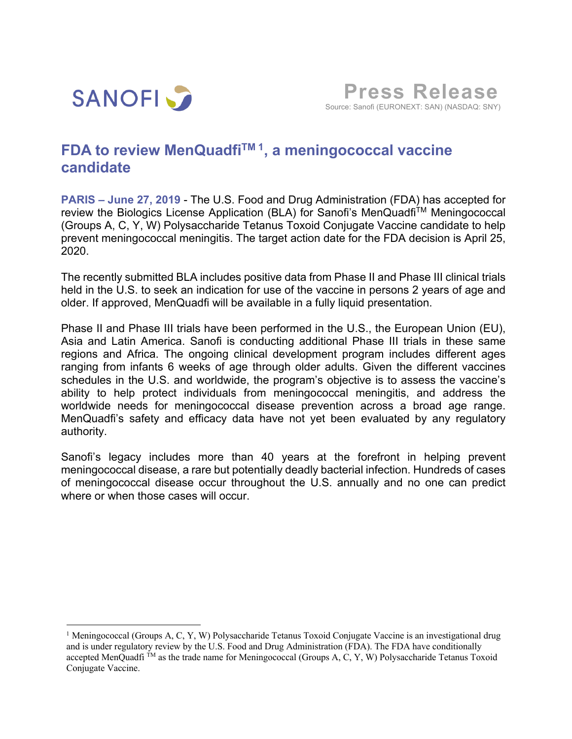

**Press Release**Source: Sanofi (EURONEXT: SAN) (NASDAQ: SNY)

## **FDA to review MenQuadfi TM 1 , a meningococcal vaccine candidate**

**PARIS – June 27, 2019** - The U.S. Food and Drug Administration (FDA) has accepted for review the Biologics License Application (BLA) for Sanofi's MenQuadfi™ Meningococcal (Groups A, C, Y, W) Polysaccharide Tetanus Toxoid Conjugate Vaccine candidate to help prevent meningococcal meningitis. The target action date for the FDA decision is April 25, 2020.

The recently submitted BLA includes positive data from Phase II and Phase III clinical trials held in the U.S. to seek an indication for use of the vaccine in persons 2 years of age and older. If approved, MenQuadfi will be available in a fully liquid presentation.

Phase II and Phase III trials have been performed in the U.S., the European Union (EU), Asia and Latin America. Sanofi is conducting additional Phase III trials in these same regions and Africa. The ongoing clinical development program includes different ages ranging from infants 6 weeks of age through older adults. Given the different vaccines schedules in the U.S. and worldwide, the program's objective is to assess the vaccine's ability to help protect individuals from meningococcal meningitis, and address the worldwide needs for meningococcal disease prevention across a broad age range. MenQuadfi's safety and efficacy data have not yet been evaluated by any regulatory authority.

Sanofi's legacy includes more than 40 years at the forefront in helping prevent meningococcal disease, a rare but potentially deadly bacterial infection. Hundreds of cases of meningococcal disease occur throughout the U.S. annually and no one can predict where or when those cases will occur.

<sup>&</sup>lt;sup>1</sup> Meningococcal (Groups A, C, Y, W) Polysaccharide Tetanus Toxoid Conjugate Vaccine is an investigational drug and is under regulatory review by the U.S. Food and Drug Administration (FDA). The FDA have conditionally accepted MenQuadfi<sup> $\tilde{T}$ M</sup> as the trade name for Meningococcal (Groups A, C, Y, W) Polysaccharide Tetanus Toxoid Conjugate Vaccine.